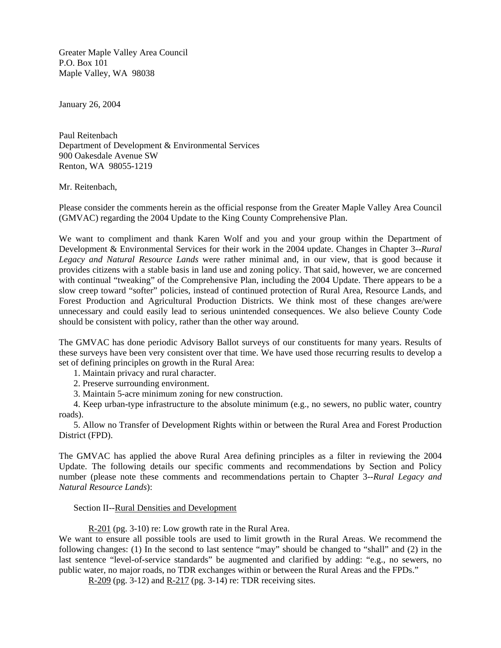Greater Maple Valley Area Council P.O. Box 101 Maple Valley, WA 98038

January 26, 2004

Paul Reitenbach Department of Development & Environmental Services 900 Oakesdale Avenue SW Renton, WA 98055-1219

## Mr. Reitenbach,

Please consider the comments herein as the official response from the Greater Maple Valley Area Council (GMVAC) regarding the 2004 Update to the King County Comprehensive Plan.

We want to compliment and thank Karen Wolf and you and your group within the Department of Development & Environmental Services for their work in the 2004 update. Changes in Chapter 3--*Rural Legacy and Natural Resource Lands* were rather minimal and, in our view, that is good because it provides citizens with a stable basis in land use and zoning policy. That said, however, we are concerned with continual "tweaking" of the Comprehensive Plan, including the 2004 Update. There appears to be a slow creep toward "softer" policies, instead of continued protection of Rural Area, Resource Lands, and Forest Production and Agricultural Production Districts. We think most of these changes are/were unnecessary and could easily lead to serious unintended consequences. We also believe County Code should be consistent with policy, rather than the other way around.

The GMVAC has done periodic Advisory Ballot surveys of our constituents for many years. Results of these surveys have been very consistent over that time. We have used those recurring results to develop a set of defining principles on growth in the Rural Area:

- 1. Maintain privacy and rural character.
- 2. Preserve surrounding environment.
- 3. Maintain 5-acre minimum zoning for new construction.

4. Keep urban-type infrastructure to the absolute minimum (e.g., no sewers, no public water, country roads).

5. Allow no Transfer of Development Rights within or between the Rural Area and Forest Production District (FPD).

The GMVAC has applied the above Rural Area defining principles as a filter in reviewing the 2004 Update. The following details our specific comments and recommendations by Section and Policy number (please note these comments and recommendations pertain to Chapter 3--*Rural Legacy and Natural Resource Lands*):

### Section II--Rural Densities and Development

R-201 (pg. 3-10) re: Low growth rate in the Rural Area.

We want to ensure all possible tools are used to limit growth in the Rural Areas. We recommend the following changes: (1) In the second to last sentence "may" should be changed to "shall" and (2) in the last sentence "level-of-service standards" be augmented and clarified by adding: "e.g., no sewers, no public water, no major roads, no TDR exchanges within or between the Rural Areas and the FPDs."

R-209 (pg. 3-12) and R-217 (pg. 3-14) re: TDR receiving sites.